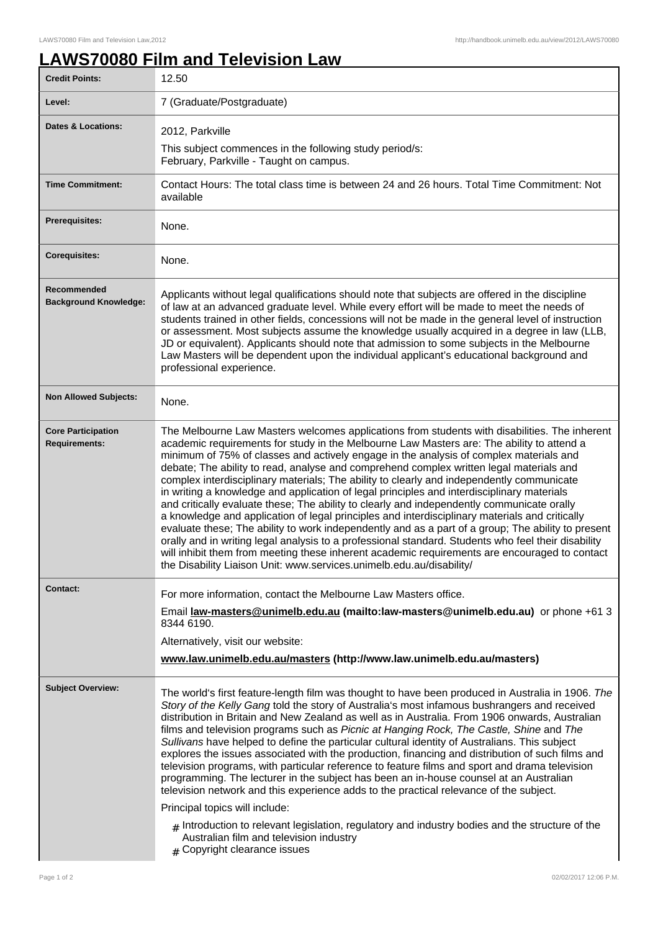## **LAWS70080 Film and Television Law**

| <b>Credit Points:</b>                             | 12.50                                                                                                                                                                                                                                                                                                                                                                                                                                                                                                                                                                                                                                                                                                                                                                                                                                                                                                                                                                                                                                                                                                                                                            |
|---------------------------------------------------|------------------------------------------------------------------------------------------------------------------------------------------------------------------------------------------------------------------------------------------------------------------------------------------------------------------------------------------------------------------------------------------------------------------------------------------------------------------------------------------------------------------------------------------------------------------------------------------------------------------------------------------------------------------------------------------------------------------------------------------------------------------------------------------------------------------------------------------------------------------------------------------------------------------------------------------------------------------------------------------------------------------------------------------------------------------------------------------------------------------------------------------------------------------|
| Level:                                            | 7 (Graduate/Postgraduate)                                                                                                                                                                                                                                                                                                                                                                                                                                                                                                                                                                                                                                                                                                                                                                                                                                                                                                                                                                                                                                                                                                                                        |
| <b>Dates &amp; Locations:</b>                     | 2012, Parkville                                                                                                                                                                                                                                                                                                                                                                                                                                                                                                                                                                                                                                                                                                                                                                                                                                                                                                                                                                                                                                                                                                                                                  |
|                                                   | This subject commences in the following study period/s:<br>February, Parkville - Taught on campus.                                                                                                                                                                                                                                                                                                                                                                                                                                                                                                                                                                                                                                                                                                                                                                                                                                                                                                                                                                                                                                                               |
| <b>Time Commitment:</b>                           | Contact Hours: The total class time is between 24 and 26 hours. Total Time Commitment: Not<br>available                                                                                                                                                                                                                                                                                                                                                                                                                                                                                                                                                                                                                                                                                                                                                                                                                                                                                                                                                                                                                                                          |
| <b>Prerequisites:</b>                             | None.                                                                                                                                                                                                                                                                                                                                                                                                                                                                                                                                                                                                                                                                                                                                                                                                                                                                                                                                                                                                                                                                                                                                                            |
| <b>Corequisites:</b>                              | None.                                                                                                                                                                                                                                                                                                                                                                                                                                                                                                                                                                                                                                                                                                                                                                                                                                                                                                                                                                                                                                                                                                                                                            |
| Recommended<br><b>Background Knowledge:</b>       | Applicants without legal qualifications should note that subjects are offered in the discipline<br>of law at an advanced graduate level. While every effort will be made to meet the needs of<br>students trained in other fields, concessions will not be made in the general level of instruction<br>or assessment. Most subjects assume the knowledge usually acquired in a degree in law (LLB,<br>JD or equivalent). Applicants should note that admission to some subjects in the Melbourne<br>Law Masters will be dependent upon the individual applicant's educational background and<br>professional experience.                                                                                                                                                                                                                                                                                                                                                                                                                                                                                                                                         |
| <b>Non Allowed Subjects:</b>                      | None.                                                                                                                                                                                                                                                                                                                                                                                                                                                                                                                                                                                                                                                                                                                                                                                                                                                                                                                                                                                                                                                                                                                                                            |
| <b>Core Participation</b><br><b>Requirements:</b> | The Melbourne Law Masters welcomes applications from students with disabilities. The inherent<br>academic requirements for study in the Melbourne Law Masters are: The ability to attend a<br>minimum of 75% of classes and actively engage in the analysis of complex materials and<br>debate; The ability to read, analyse and comprehend complex written legal materials and<br>complex interdisciplinary materials; The ability to clearly and independently communicate<br>in writing a knowledge and application of legal principles and interdisciplinary materials<br>and critically evaluate these; The ability to clearly and independently communicate orally<br>a knowledge and application of legal principles and interdisciplinary materials and critically<br>evaluate these; The ability to work independently and as a part of a group; The ability to present<br>orally and in writing legal analysis to a professional standard. Students who feel their disability<br>will inhibit them from meeting these inherent academic requirements are encouraged to contact<br>the Disability Liaison Unit: www.services.unimelb.edu.au/disability/ |
| Contact:                                          | For more information, contact the Melbourne Law Masters office.<br>Email law-masters@unimelb.edu.au (mailto:law-masters@unimelb.edu.au) or phone +61 3<br>8344 6190.<br>Alternatively, visit our website:<br>www.law.unimelb.edu.au/masters (http://www.law.unimelb.edu.au/masters)                                                                                                                                                                                                                                                                                                                                                                                                                                                                                                                                                                                                                                                                                                                                                                                                                                                                              |
| <b>Subject Overview:</b>                          | The world's first feature-length film was thought to have been produced in Australia in 1906. The<br>Story of the Kelly Gang told the story of Australia's most infamous bushrangers and received<br>distribution in Britain and New Zealand as well as in Australia. From 1906 onwards, Australian<br>films and television programs such as Picnic at Hanging Rock, The Castle, Shine and The<br>Sullivans have helped to define the particular cultural identity of Australians. This subject<br>explores the issues associated with the production, financing and distribution of such films and<br>television programs, with particular reference to feature films and sport and drama television<br>programming. The lecturer in the subject has been an in-house counsel at an Australian<br>television network and this experience adds to the practical relevance of the subject.<br>Principal topics will include:<br>$_{\#}$ Introduction to relevant legislation, regulatory and industry bodies and the structure of the<br>Australian film and television industry<br>Copyright clearance issues                                                    |